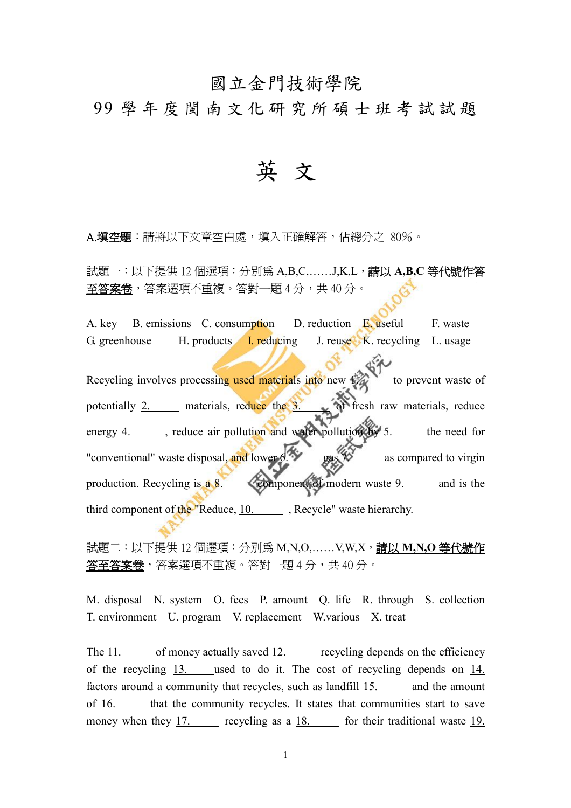## 國立金門技術學院

99 學 年 度 閩 南 文 化 研 究 所 碩 士 班 考 試 試 題

英 文

A.填空題:請將以下文章空白處,填入正確解答,佔總分之 80%。

試題一:以下提供 12 個選項:分別為 A,B,C,……J,K,L,請以 **A,B,C** 等代號作答 至答案卷,答案選項不重複。答對一題 4 分, 共 40 分。

A. key B. emissions C. consumption D. reduction E. useful F. waste G. greenhouse H. products I. reducing J. reuse K. recycling L. usage

Recycling involves processing used materials into new  $\mathbb{Z}$  to prevent waste of potentially 2. materials, reduce the 3. of fresh raw materials, reduce energy  $4.$  , reduce air pollution and water pollution by  $5.$  the need for "conventional" waste disposal, and lower  $6.98$  gas  $78$  as compared to virgin production. Recycling is  $\overline{a}$  8. component of modern waste 9. and is the third component of the "Reduce, 10. Recycle" waste hierarchy.

試題二:以下提供 12 個選項:分別為 M,N,O,……V,W,X,請以 **M,N,O** 等代號作 答至答案卷,答案選項不重複。答對一題 4 分, 共 40 分。

M. disposal N. system O. fees P. amount Q. life R. through S. collection T. environment U. program V. replacement W.various X. treat

The  $11.$  of money actually saved  $12.$  recycling depends on the efficiency of the recycling 13. used to do it. The cost of recycling depends on 14. factors around a community that recycles, such as landfill 15. and the amount of 16. that the community recycles. It states that communities start to save money when they 17. recycling as a 18. for their traditional waste 19.